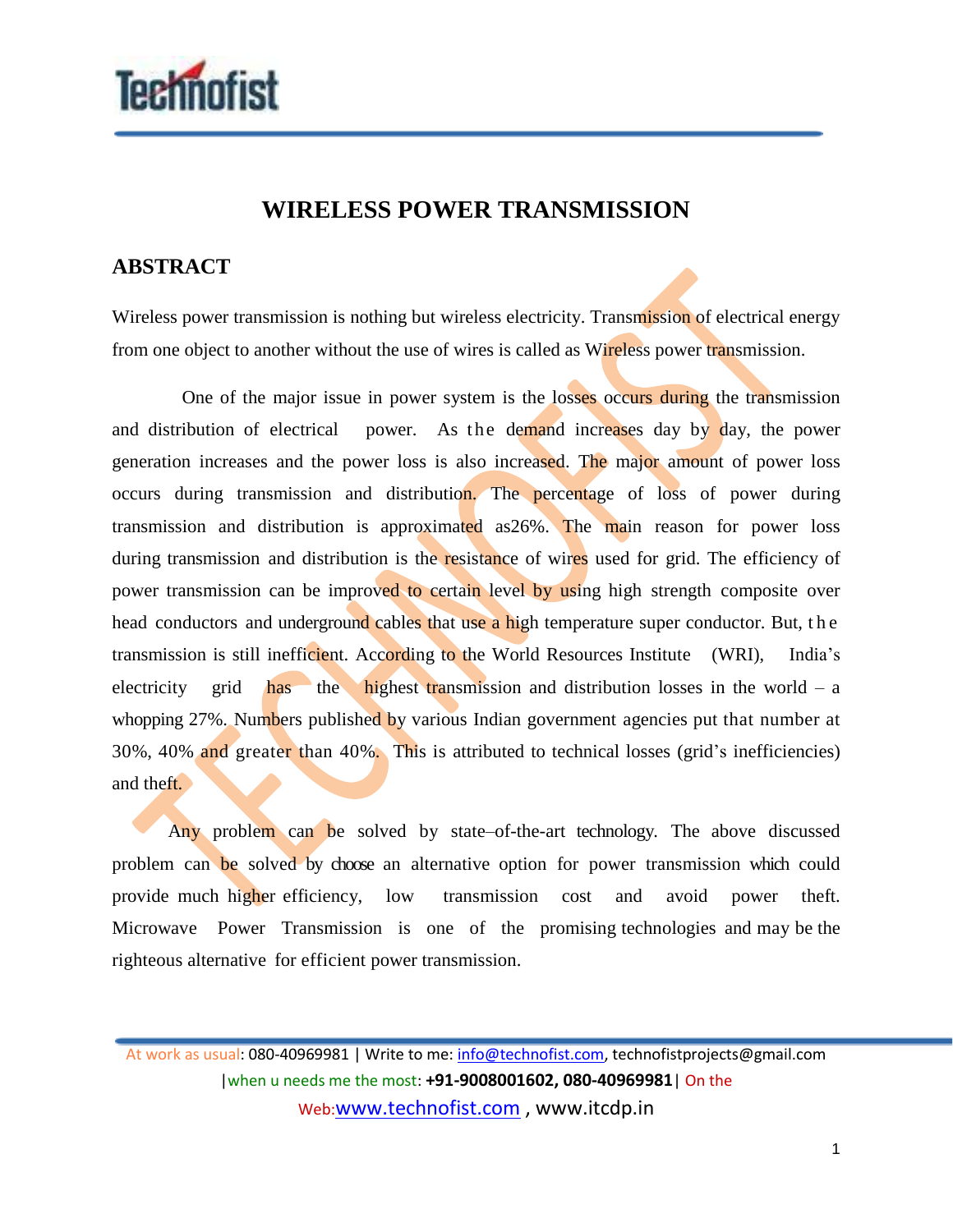

## **WIRELESS POWER TRANSMISSION**

## **ABSTRACT**

Wireless power transmission is nothing but wireless electricity. Transmission of electrical energy from one object to another without the use of wires is called as Wireless power transmission.

 One of the major issue in power system is the losses occurs during the transmission and distribution of electrical power. As the demand increases day by day, the power generation increases and the power loss is also increased. The major amount of power loss occurs during transmission and distribution. The percentage of loss of power during transmission and distribution is approximated as26%. The main reason for power loss during transmission and distribution is the resistance of wires used for grid. The efficiency of power transmission can be improved to certain level by using high strength composite over head conductors and underground cables that use a high temperature super conductor. But, the transmission is still inefficient. According to the World Resources Institute (WRI), India's electricity grid has the highest transmission and distribution losses in the world – a whopping 27%. Numbers published by various Indian government agencies put that number at 30%, 40% and greater than 40%. This is attributed to technical losses (grid's inefficiencies) and theft.

Any problem can be solved by state–of-the-art technology. The above discussed problem can be solved by choose an alternative option for power transmission which could provide much higher efficiency, low transmission cost and avoid power theft. Microwave Power Transmission is one of the promising technologies and may be the righteous alternative for efficient power transmission.

At work as usual: 080-40969981 | Write to me: info@technofist.com, technofistprojects@gmail.com |when u needs me the most: **+91-9008001602, 080-40969981**| On the Web:www.technofist.com , www.itcdp.in